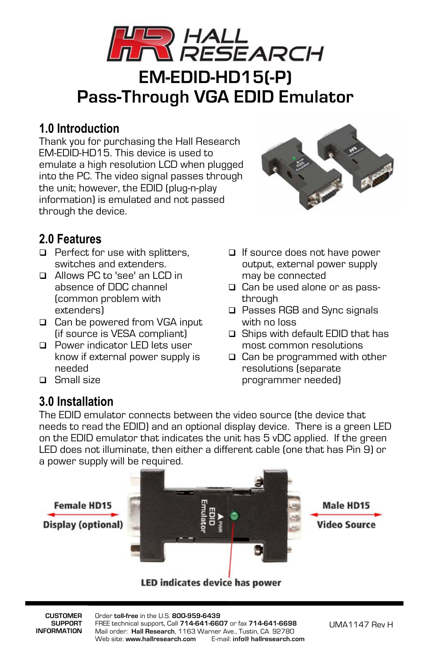

### **1.0 Introduction**

Thank you for purchasing the Hall Research EM-EDID-HD15. This device is used to emulate a high resolution LCD when plugged into the PC. The video signal passes through the unit; however, the EDID (plug-n-play information) is emulated and not passed through the device.



# **2.0 Features**

- $\Box$  Perfect for use with splitters, switches and extenders.
- □ Allows PC to 'see' an LCD in absence of DDC channel (common problem with extenders)
- □ Can be powered from VGA input (if source is VESA compliant)
- **Power indicator LED lets user** know if external power supply is needed
- □ Small size

#### **3.0 Installation**

output, external power supply may be connected □ Can be used alone or as passthrough

□ If source does not have power

- □ Passes RGB and Sync signals with no loss
- □ Ships with default EDID that has most common resolutions
- **□** Can be programmed with other resolutions (separate programmer needed)

The EDID emulator connects between the video source (the device that needs to read the EDID) and an optional display device. There is a green LED on the EDID emulator that indicates the unit has 5 vDC applied. If the green LED does not illuminate, then either a different cable (one that has Pin 9) or a power supply will be required.



LED indicates device has power